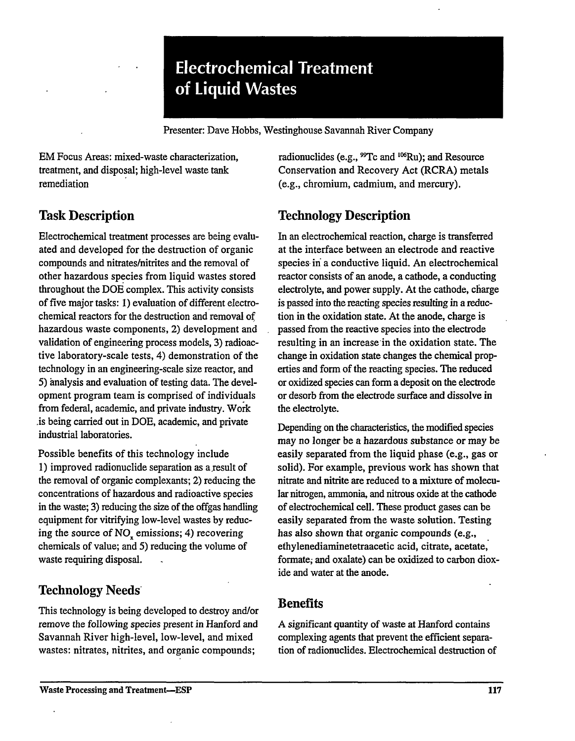# **Electrochemical Treatment of Liquid Wastes**

Presenter: Dave Hobbs, Westinghouse Savannah River Company

EM Focus Areas: mixed-waste characterization, treatment, and disposal; high-level waste tank remediation

# **Task Description**

Electrochemical treatment processes are being evaluated and developed for the destruction of organic compounds and nitrates/nitrites and the removal of other hazardous species from liquid wastes stored throughout the DOE complex. This activity consists of five major tasks: 1) evaluation of different electrochemical reactors for the destruction and removal of hazardous waste components, 2) development and validation of engineering process models, 3) radioactive laboratory-scale tests, 4) demonstration of the technology in an engineering-scale size reactor, and 5) analysis and evaluation of testing data. The development program team is comprised of individuals from federal, academic, and private industry. Work .is being carried out in DOE, academic, and private industrial laboratories.

Possible benefits of this technology include 1) improved radionuclide separation as a.result of the removal of organic complexants; 2) reducing the concentrations of hazardous and radioactive species in the waste; 3) reducing the size of the offgas handling equipment for vitrifying low-level wastes by reducing the source of  $NO<sub>x</sub>$  emissions; 4) recovering chemicals of value; and 5) reducing the volume of waste requiring disposal.

# **Technology Needs**

This technology is being developed to destroy and/or remove the following species present in Hanford and Savannah River high-level, low-level, and mixed wastes: nitrates, nitrites, and organic compounds;

radionuclides (e.g., <sup>99</sup>Tc and <sup>106</sup>Ru); and Resource Conservation and Recovery Act (RCRA) metals (e.g., chromium, cadmium, and mercury).

# **Technology Description**

In an electrochemical reaction, charge is transferred at the interface between an electrode and reactive species in a conductive liquid. An electrochemical reactor consists of an anode, a cathode, a conducting electrolyte, and power supply. At the cathode, charge is passed into the reacting species resulting in a reduction in the oxidation state. At the anode, charge is passed from the reactive species into the electrode resulting in an increase in the oxidation state. The change in oxidation state changes the chemical properties and form of the reacting species. The reduced or oxidized species can form a deposit on the electrode or desorb from the electrode surface and dissolve in the electrolyte.

Depending on the characteristics, the modified species may no longer be a hazardous substance or may be easily separated from the liquid phase (e**.g.,** gas or solid). For example, previous work has shown that nitrate and nitrite are reduced to a mixture of molecular nitrogen, ammonia, and nitrous oxide at the cathode of electrochemical cell. These product gases can be easily separated from the waste solution. Testing has also shown that organic compounds (e.g., ethylenediaminetetraacetic acid, citrate, acetate, formate; and oxalate) can be oxidized to carbon dioxide and water at the anode.

#### **Benefits**

A significant quantity of waste at Hanford contains complexing agents that prevent the efficient separation of radionuclides. Electrochemical destruction of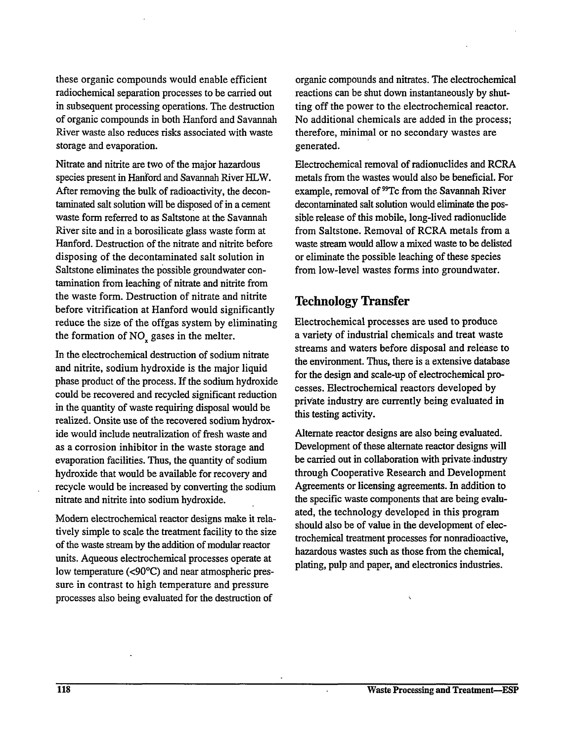these organic compounds would enable efficient radiochemical separation processes to be carried out in subsequent processing operations. The destruction of organic compounds in both Hanford and Savannah River waste also reduces risks associated with waste storage and evaporation.

Nitrate and nitrite are two of the major hazardous species present in Hanford and Savannah River HLW. After removing the bulk of radioactivity, the decontaminated salt solution will be disposed of in a cement waste form referred to as Saltstone at the Savannah River site and in a borosilicate glass waste form at Hanford. Destruction of the nitrate and nitrite before disposing of the decontaminated salt solution in Saltstone eliminates the possible groundwater contamination from leaching of nitrate and nitrite from the waste form. Destruction of nitrate and nitrite before vitrification at Hanford would significantly reduce the size of the offgas system by eliminating the formation of  $NO<sub>x</sub>$  gases in the melter.

In the electrochemical destruction of sodium nitrate and nitrite, sodium hydroxide is the major liquid phase product of the process. If the sodium hydroxide could be recovered and recycled significant reduction in the quantity of waste requiring disposal would be realized. Onsite use of the recovered sodium hydroxide would include neutralization of fresh waste and as a corrosion inhibitor in the waste storage and evaporation facilities. Thus, the quantity of sodium hydroxide that would be available for recovery and recycle would be increased by converting the sodium nitrate and nitrite into sodium hydroxide.

Modern electrochemical reactor designs make it relatively simple to scale the treatment facility to the size of the waste stream by the addition of modular reactor units. Aqueous electrochemical processes operate at low temperature (<90°C) and near atmospheric pressure in contrast to high temperature and pressure processes also being evaluated for the destruction of

organic compounds and nitrates. The electrochemical reactions can be shut down instantaneously by shutting off the power to the electrochemical reactor. No additional chemicals are added in the process; therefore, minimal or no secondary wastes are generated.

Electrochemical removal of radionuclides and RCRA metals from the wastes would also be beneficial. For example, removal of <sup>99</sup>Tc from the Savannah River decontaminated salt solution would eliminate the possible release of this mobile, long-lived radionuclide from Saltstone. Removal of RCRA metals from a waste stream would allow a mixed waste to be delisted or eliminate the possible leaching of these species from low-level wastes forms into groundwater.

#### Technology Transfer

Electrochemical processes are used to produce a variety of industrial chemicals and treat waste streams and waters before disposal and release to the environment. Thus, there is a extensive database for the design and scale-up of electrochemical processes. Electrochemical reactors developed by private industry are currently being evaluated in this testing activity.

Alternate reactor designs are also being evaluated. Development of these alternate reactor designs will be carried out in collaboration with private industry through Cooperative Research and Development Agreements or licensing agreements. In addition to the specific waste components that are being evaluated, the technology developed in this program should also be of value in the development of electrochemical treatment processes for nonradioactive, hazardous wastes such as those from the chemical, plating, pulp and paper, and electronics industries.

 $\overline{\mathbf{C}}$